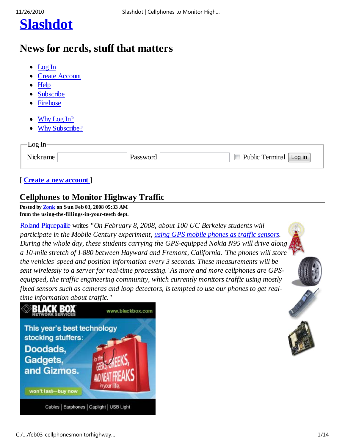

## **News for nerds, stuff that matters**

- Log In
- Create Account
- Help
- Subscribe
- Firehose
- Why Log In?
- Why Subscribe?

| $Log In-$ |          |                           |
|-----------|----------|---------------------------|
|           | Password | Public Terminal<br>Log in |

### [ **Create a new account** ]

### **Cellphones to Monitor Highway Traffic**

**Posted by Zonk on Sun Feb 03, 2008 05:33 AM from the using-the-fillings-in-your-teeth dept.**

Roland Piquepaille writes *"On February 8, 2008, about 100 UC Berkeley students will participate in the Mobile Century experiment, using GPS mobile phones as traffic sensors. During the whole day, these students carrying the GPS-equipped Nokia N95 will drive along a 10-mile stretch of I-880 between Hayward and Fremont, California. 'The phones will store the vehicles' speed and position information every 3 seconds. These measurements will be sent wirelessly to a server for real-time processing.' As more and more cellphones are GPSequipped, the traffic engineering community, which currently monitors traffic using mostly fixed sensors such as cameras and loop detectors, is tempted to use our phones to get realtime information about traffic."*

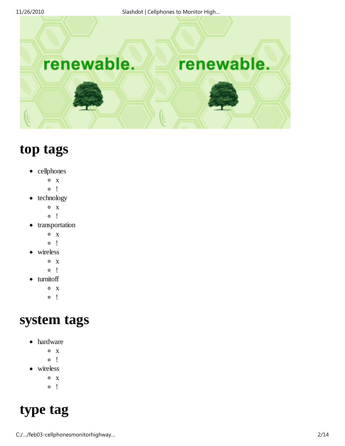renewable.



## **top tags**

- cellphones
	- $\circ$  x
	- $\circ$  !
- $\bullet$  technology
	- $O X$
	- $\circ$  !
- transportation
	- $\circ$  x
	- $\circ$  !
- wireless
	- $\circ$  x
	- $\circ$  !
- turnitoff
	- $\circ$  x
	- $\circ$  !

## **system tags**

- hardware
	- $\circ$  x
	- $\circ$  !
- wireless
	- $\circ$  x
	- $\circ$  !

# **type tag**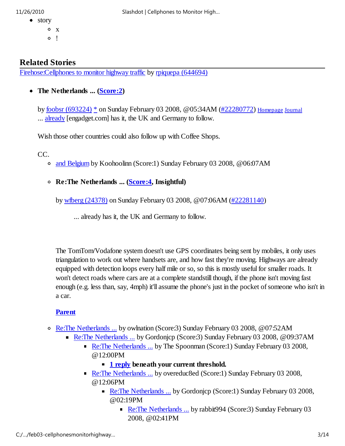- story
	- o x  $\circ$  !
- 11/26/2010 Slashdot | Cellphones to Monitor High…

### **Related Stories**

Firehose:Cellphones to monitor highway traffic by rpiquepa (644694)

**The Netherlands ... (Score:2)**

by foobsr (693224) \* on Sunday February 03 2008, @05:34AM (#22280772) Homepage Journal ... already [engadget.com] has it, the UK and Germany to follow.

Wish those other countries could also follow up with Coffee Shops.

CC.

- and Belgium by Koohoolinn (Score:1) Sunday February 03 2008, @06:07AM
- **Re:The Netherlands ... (Score:4, Insightful)**

by wfberg (24378) on Sunday February 03 2008, @07:06AM (#22281140)

... already has it, the UK and Germany to follow.

The TomTom/Vodafone system doesn't use GPS coordinates being sent by mobiles, it only uses triangulation to work out where handsets are, and how fast they're moving. Highways are already equipped with detection loops every half mile or so, so this is mostly useful for smaller roads. It won't detect roads where cars are at a complete standstill though, if the phone isn't moving fast enough (e.g. less than, say, 4mph) it'll assume the phone's just in the pocket of someone who isn't in a car.

#### **Parent**

- Re:The Netherlands ... by owlnation (Score:3) Sunday February 03 2008, @07:52AM
	- Re: The Netherlands ... by Gordonicp (Score: 3) Sunday February 03 2008, @09:37AM
		- Re:The Netherlands ... by The Spoonman (Score:1) Sunday February 03 2008, @12:00PM
			- **1 reply beneath your current threshold.**
		- Re:The Netherlands ... by overeduc8ed (Score:1) Sunday February 03 2008, @12:06PM
			- Re:The Netherlands ... by Gordonicp (Score:1) Sunday February 03 2008, @02:19PM
				- Re:The Netherlands ... by rabbit994 (Score:3) Sunday February 03 2008, @02:41PM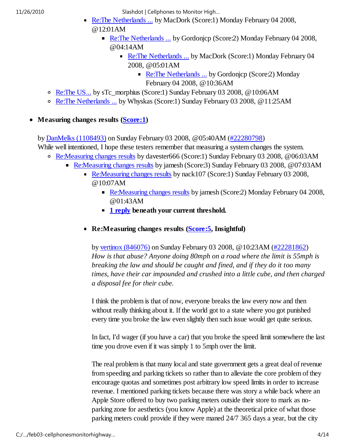- Re:The Netherlands ... by MacDork (Score:1) Monday February 04 2008, @12:01AM
	- Re:The Netherlands ... by Gordonicp (Score: 2) Monday February 04 2008, @04:14AM
		- Re: The Netherlands ... by MacDork (Score:1) Monday February 04 2008, @05:01AM
			- Re:The Netherlands ... by Gordonicp (Score:2) Monday February 04 2008, @10:36AM
- Re:The US... by sTc\_morphius (Score:1) Sunday February 03 2008, @10:06AM
- Re:The Netherlands ... by Whyskas (Score:1) Sunday February 03 2008, @11:25AM

**Measuring changes results (Score:1)**

by DanMelks (1108493) on Sunday February 03 2008, @05:40AM (#22280798)

- While well intentioned, I hope these testers remember that measuring a system changes the system.
	- Re:Measuring changes results by davester666 (Score:1) Sunday February 03 2008, @06:03AM
		- Re:Measuring changes results by jamesh (Score:3) Sunday February 03 2008, @07:03AM
			- Re:Measuring changes results by nack107 (Score:1) Sunday February 03 2008, @10:07AM
				- Re:Measuring changes results by jamesh (Score: 2) Monday February 04 2008, @01:43AM
				- **1 reply beneath your current threshold.**
				- **Re:Measuring changes results (Score:5, Insightful)**

by vertinox (846076) on Sunday February 03 2008, @10:23AM (#22281862) *How is that abuse? Anyone doing 80mph on a road where the limit is 55mph is breaking the law and should be caught and fined, and if they do it too many times, have their car impounded and crushed into a little cube, and then charged a disposal fee for their cube.*

I think the problem is that of now, everyone breaks the law every now and then without really thinking about it. If the world got to a state where you got punished every time you broke the law even slightly then such issue would get quite serious.

In fact, I'd wager (if you have a car) that you broke the speed limit somewhere the last time you drove even if it was simply 1 to 5mph over the limit.

The real problem is that many local and state government gets a great deal of revenue from speeding and parking tickets so rather than to alleviate the core problem of they encourage quotas and sometimes post arbitrary low speed limits in order to increase revenue. I mentioned parking tickets because there was story a while back where an Apple Store offered to buy two parking meters outside their store to mark as noparking zone for aesthetics (you know Apple) at the theoretical price of what those parking meters could provide if they were maned 24/7 365 days a year, but the city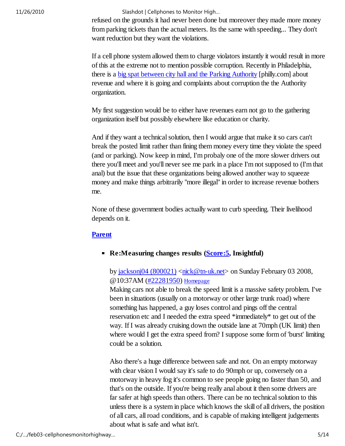refused on the grounds it had never been done but moreover they made more money from parking tickets than the actual meters. Its the same with speeding... They don't want reduction but they want the violations.

If a cell phone system allowed them to charge violators instantly it would result in more of this at the extreme not to mention possible corruption. Recently in Philadelphia, there is a big spat between city hall and the Parking Authority [philly.com] about revenue and where it is going and complaints about corruption the the Authority organization.

My first suggestion would be to either have revenues earn not go to the gathering organization itself but possibly elsewhere like education or charity.

And if they want a technical solution, then I would argue that make it so cars can't break the posted limit rather than fining them money every time they violate the speed (and or parking). Now keep in mind, I'm probaly one of the more slower drivers out there you'll meet and you'll never see me park in a place I'm not supposed to (I'm that anal) but the issue that these organizations being allowed another way to squeeze money and make things arbitrarily "more illegal" in order to increase revenue bothers me.

None of these government bodies actually want to curb speeding. Their livelihood depends on it.

#### **Parent**

#### **Re:Measuring changes results (Score: 5, Insightful)**

by jacksonj $04$  (800021)  $\langle$ nick@tn-uk.net $>$  on Sunday February 03 2008, @10:37AM (#22281950) Homepage

Making cars not able to break the speed limit is a massive safety problem. I've been in situations (usually on a motorway or other large trunk road) where something has happened, a guy loses control and pings off the central reservation etc and I needed the extra speed \*immediately\* to get out of the way. If I was already cruising down the outside lane at 70mph (UK limit) then where would I get the extra speed from? I suppose some form of 'burst' limiting could be a solution.

Also there's a huge difference between safe and not. On an empty motorway with clear vision I would say it's safe to do 90mph or up, conversely on a motorway in heavy fog it's common to see people going no faster than 50, and that's on the outside. If you're being really anal about it then some drivers are far safer at high speeds than others. There can be no technical solution to this unless there is a system in place which knows the skill of all drivers, the position of all cars, all road conditions, and is capable of making intelligent judgements about what is safe and what isn't.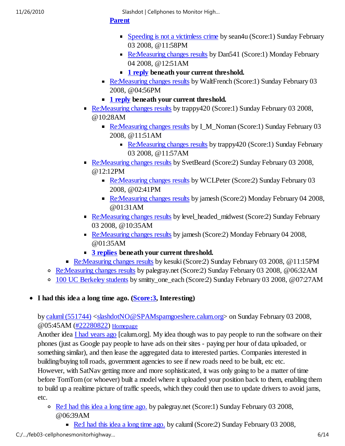#### **Parent**

- Speeding is not a victimless crime by sean4u (Score:1) Sunday February 03 2008, @11:58PM
- Re: Measuring changes results by Dan541 (Score: 1) Monday February 04 2008, @12:51AM
- **1 reply beneath your current threshold.**
- Re:Measuring changes results by WaltFrench (Score:1) Sunday February 03 2008, @04:56PM
- **1 reply beneath your current threshold.**
- Re:Measuring changes results by trappy420 (Score:1) Sunday February 03 2008, @10:28AM
	- Re: Measuring changes results by I\_M\_Noman (Score:1) Sunday February 03 2008, @11:51AM
		- Re:Measuring changes results by trappy420 (Score:1) Sunday February 03 2008, @11:57AM
- Re:Measuring changes results by SvetBeard (Score:2) Sunday February 03 2008, @12:12PM
	- Re: Measuring changes results by WCLPeter (Score: 2) Sunday February 03 2008, @02:41PM
	- Re:Measuring changes results by jamesh (Score: 2) Monday February 04 2008, @01:31AM
- Re:Measuring changes results by level\_headed\_midwest (Score:2) Sunday February 03 2008, @10:35AM
- Re: Measuring changes results by jamesh (Score: 2) Monday February 04 2008, @01:35AM
- **3 replies beneath your current threshold.**
- Re:Measuring changes results by kesuki (Score:2) Sunday February 03 2008, @11:15PM
- Re:Measuring changes results by palegray.net (Score:2) Sunday February 03 2008, @06:32AM
- 100 UC Berkeley students by smitty one each (Score:2) Sunday February 03 2008, @07:27AM
- **I had this idea a long time ago. (Score:3, Interesting)**

by caluml (551744) <slashdotNO@SPAMspamgoeshere.calum.org> on Sunday February 03 2008, @05:45AM (#22280822) Homepage

Another idea I had years ago [calum.org]. My idea though was to pay people to run the software on their phones (just as Google pay people to have ads on their sites - paying per hour of data uploaded, or something similar), and then lease the aggregated data to interested parties. Companies interested in building/buying toll roads, government agencies to see if new roads need to be built, etc etc.

However, with SatNav getting more and more sophisticated, it was only going to be a matter of time before TomTom (or whoever) built a model where it uploaded your position back to them, enabling them to build up a realtime picture of traffic speeds, which they could then use to update drivers to avoid jams, etc.

- Re:I had this idea a long time ago. by palegray.net (Score:1) Sunday February 03 2008, @06:39AM
	- Re:I had this idea a long time ago. by caluml (Score: 2) Sunday February 03 2008,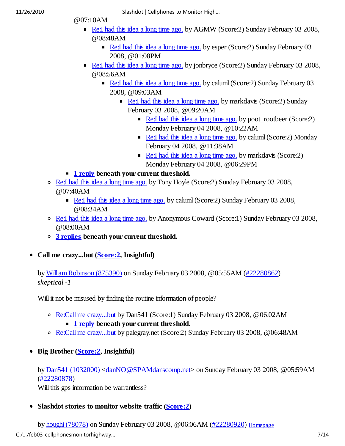- @07:10AM
	- Re:I had this idea a long time ago. by AGMW (Score:2) Sunday February 03 2008, @08:48AM
		- Re:I had this idea a long time ago. by esper (Score:2) Sunday February 03 2008, @01:08PM
	- Re:I had this idea a long time ago. by jonbryce (Score:2) Sunday February 03 2008, @08:56AM
		- Re:I had this idea a long time ago. by caluml (Score:2) Sunday February 03 2008, @09:03AM
			- Re:I had this idea a long time ago. by markdavis (Score:2) Sunday February 03 2008, @09:20AM
				- Re:I had this idea a long time ago. by poot\_rootbeer (Score:2) Monday February 04 2008, @10:22AM
				- Re:I had this idea a long time ago. by caluml (Score:2) Monday February 04 2008, @11:38AM
				- Re:I had this idea a long time ago. by markdavis (Score:2) Monday February 04 2008, @06:29PM
- **1 reply beneath your current threshold.**
- Re:I had this idea a long time ago. by Tony Hoyle (Score:2) Sunday February 03 2008, @07:40AM
	- Re:I had this idea a long time ago. by caluml (Score: 2) Sunday February 03 2008, @08:34AM
- Re:I had this idea a long time ago. by Anonymous Coward (Score:1) Sunday February 03 2008, @08:00AM
- **3 replies beneath your current threshold.**
- **Call me crazy...but (Score:2, Insightful)**

by William Robinson (875390) on Sunday February 03 2008, @05:55AM (#22280862) *skeptical -1*

Will it not be misused by finding the routine information of people?

- Re:Call me crazy...but by Dan541 (Score:1) Sunday February 03 2008, @06:02AM
	- **1 reply beneath your current threshold.**
- Re:Call me crazy...but by palegray.net (Score:2) Sunday February 03 2008, @06:48AM
- **Big Brother (Score:2, Insightful)**

by Dan541 (1032000) <danNO@SPAMdanscomp.net> on Sunday February 03 2008, @05:59AM (#22280878)

Will this gps information be warrantless?

**Slashdot stories to monitor website traffic (Score:2)**

by houghi (78078) on Sunday February 03 2008, @06:06AM (#22280920) Homepage C:/…/feb03-cellphonesmonitorhighway… 7/14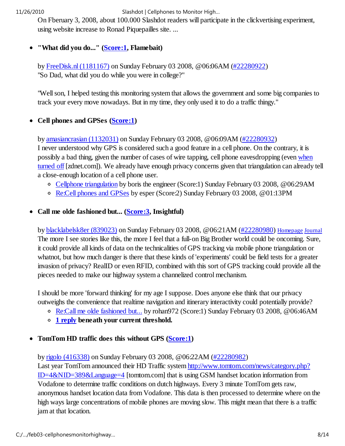On Fberuary 3, 2008, about 100.000 Slashdot readers will participate in the clickvertising experiment, using website increase to Ronad Piquepailles site. ...

#### **"What did you do..." (Score:1, Flamebait)**  $\bullet$

by FreeDisk.nl (1181167) on Sunday February 03 2008, @06:06AM (#22280922) "So Dad, what did you do while you were in college?"

"Well son, I helped testing this monitoring system that allows the government and some big companies to track your every move nowadays. But in my time, they only used it to do a traffic thingy."

#### **Cell phones and GPSes (Score:1)**  $\bullet$

by amasiancrasian (1132031) on Sunday February 03 2008, @06:09AM (#22280932) I never understood why GPS is considered such a good feature in a cell phone. On the contrary, it is possibly a bad thing, given the number of cases of wire tapping, cell phone eavesdropping (even when turned off [zdnet.com]). We already have enough privacy concerns given that triangulation can already tell a close-enough location of a cell phone user.

- Cellphone triangulation by boris the engineer (Score:1) Sunday February 03 2008, @06:29AM
- Re:Cell phones and GPSes by esper (Score:2) Sunday February 03 2008, @01:13PM

### **Call me olde fashioned but... (Score:3, Insightful)**

by blacklabelsk8er (839023) on Sunday February 03 2008, @06:21AM (#22280980) Homepage Journal The more I see stories like this, the more I feel that a full-on Big Brother world could be oncoming. Sure, it could provide all kinds of data on the technicalities of GPS tracking via mobile phone triangulation or whatnot, but how much danger is there that these kinds of 'experiments' could be field tests for a greater invasion of privacy? RealID or even RFID, combined with this sort of GPS tracking could provide all the pieces needed to make our highway system a channelized control mechanism.

I should be more 'forward thinking' for my age I suppose. Does anyone else think that our privacy outweighs the convenience that realtime navigation and itinerary interactivity could potentially provide?

- Re:Call me olde fashioned but... by rohan972 (Score:1) Sunday February 03 2008, @06:46AM
- **1 reply beneath your current threshold.**

### **TomTom HD traffic does this without GPS (Score:1)**

by rigolo (416338) on Sunday February 03 2008, @06:22AM (#22280982)

Last year TomTom announced their HD Traffic system http://www.tomtom.com/news/category.php? ID=4&NID=389&Language=4 [tomtom.com] that is using GSM handset location information from Vodafone to determine traffic conditions on dutch highways. Every 3 minute TomTom gets raw, anonymous handset location data from Vodafone. This data is then processed to determine where on the high ways large concentrations of mobile phones are moving slow. This might mean that there is a traffic jam at that location.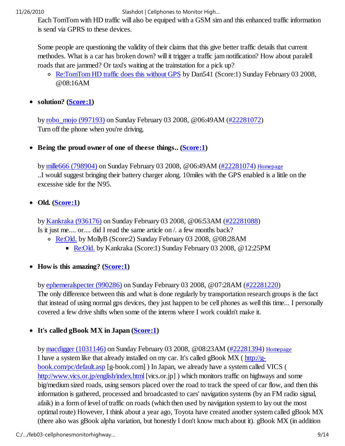Each TomTom with HD traffic will also be equiped with a GSM sim and this enhanced traffic information is send via GPRS to these devices.

Some people are questioning the validity of their claims that this give better traffic details that current methodes. What is a car has broken down? will it trigger a traffic jam notification? How about paralell roads that are jammed? Or taxi's waiting at the trainstation for a pick up?

- Re:TomTom HD traffic does this without GPS by Dan541 (Score:1) Sunday February 03 2008, @08:16AM
- **solution? (Score:1)**

by robo\_mojo (997193) on Sunday February 03 2008, @06:49AM (#22281072) Turn off the phone when you're driving.

• Being the proud owner of one of theese things.. (Score:1)

by mille666 (798904) on Sunday February 03 2008, @06:49AM (#22281074) Homepage ..I would suggest bringing their battery charger along. 10miles with the GPS enabled is a little on the excessive side for the N95.

### • Old. (**Score:1**)

by Kankraka (936176) on Sunday February 03 2008, @06:53AM (#22281088) Is it just me.... or.... did I read the same article on /. a few months back?

- Re:Old. by MollyB (Score:2) Sunday February 03 2008, @08:28AM
	- Re:Old. by Kankraka (Score:1) Sunday February 03 2008, @12:25PM
- How is this amazing? (Score:1)

by ephemeralspecter (990286) on Sunday February 03 2008, @07:28AM (#22281220)

The only difference between this and what is done regularly by transportation research groups is the fact that instead of using normal gps devices, they just happen to be cell phones as well this time... I personally covered a few drive shifts when some of the interns where I work couldn't make it.

### • It's called gBook MX in Japan (Score:1)

by macdigger (1031146) on Sunday February 03 2008, @08:23AM (#22281394) Homepage I have a system like that already installed on my car. It's called gBook  $MX$  ( $\frac{http://g-1]{\ldots}$ book.com/pc/default.asp [g-book.com] ) In Japan, we already have a system called VICS ( http://www.vics.or.jp/english/index.html [vics.or.jp] ) which monitors traffic on highways and some big/medium sized roads, using sensors placed over the road to track the speed of car flow, and then this information is gathered, processed and broadcasted to cars' navigation systems (by an FM radio signal, afaik) in a form of level of traffic on roads (which then used by navigation system to lay out the most optimal route) However, I think about a year ago, Toyota have created another system called gBook MX (there also was gBook alpha variation, but honestly I don't know much about it). gBook MX (in addition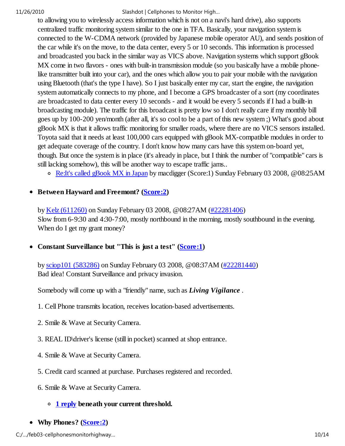to allowing you to wirelessly access information which is not on a navi's hard drive), also supports centralized traffic monitoring system similar to the one in TFA. Basically, your navigation system is connected to the W-CDMA network (provided by Japanese mobile operator AU), and sends position of the car while it's on the move, to the data center, every 5 or 10 seconds. This information is processed and broadcasted you back in the similar way as VICS above. Navigation systems which support gBook MX come in two flavors - ones with built-in transmission module (so you basically have a mobile phonelike transmitter built into your car), and the ones which allow you to pair your mobile with the navigation using Bluetooth (that's the type I have). So I just basically enter my car, start the engine, the navigation system automatically connects to my phone, and I become a GPS broadcaster of a sort (my coordinates are broadcasted to data center every 10 seconds - and it would be every 5 seconds if I had a buillt-in broadcasting module). The traffic for this broadcast is pretty low so I don't really care if my monthly bill goes up by 100-200 yen/month (after all, it's so cool to be a part of this new system ;) What's good about gBook MX is that it allows traffic monitoring for smaller roads, where there are no VICS sensors installed. Toyota said that it needs at least 100,000 cars equipped with gBook MX-compatible modules in order to get adequate coverage of the country. I don't know how many cars have this system on-board yet, though. But once the system is in place (it's already in place, but I think the number of "compatible" cars is still lacking somehow), this will be another way to escape traffic jams..

Re:It's called gBook MX in Japan by macdigger (Score:1) Sunday February 03 2008, @08:25AM

#### **Between Hayward and Freemont? (Score:2)**  $\bullet$

by Kelz (611260) on Sunday February 03 2008, @08:27AM (#22281406) Slow from 6-9:30 and 4:30-7:00, mostly northbound in the morning, mostly southbound in the evening. When do I get my grant money?

• Constant Surveillance but "This is just a test" (Score:1)

by sciop101 (583286) on Sunday February 03 2008, @08:37AM (#22281440) Bad idea! Constant Surveillance and privacy invasion.

Somebody will come up with a "friendly" name, such as *Living Vigilance* .

- 1. Cell Phone transmits location, receives location-based advertisements.
- 2. Smile & Wave at Security Camera.
- 3. REAL ID\driver's license (still in pocket) scanned at shop entrance.
- 4. Smile & Wave at Security Camera.
- 5. Credit card scanned at purchase. Purchases registered and recorded.
- 6. Smile & Wave at Security Camera.

### **1 reply beneath your current threshold.**

**Why Phones? (Score:2)**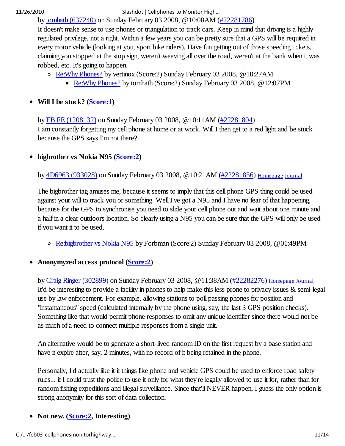by tomhath (637240) on Sunday February 03 2008, @10:08AM (#22281786)

It doesn't make sense to use phones or triangulation to track cars. Keep in mind that driving is a highly regulated privilege, not a right. Within a few years you can be pretty sure that a GPS will be required in every motor vehicle (looking at you, sport bike riders). Have fun getting out of those speeding tickets, claiming you stopped at the stop sign, weren't weaving all over the road, weren't at the bank when it was robbed, etc. It's going to happen.

- Re:Why Phones? by vertinox (Score:2) Sunday February 03 2008, @10:27AM
	- Re: Why Phones? by tomhath (Score: 2) Sunday February 03 2008, @12:07PM

### **Will I be stuck? (Score:1)**

by EB FE (1208132) on Sunday February 03 2008, @10:11AM (#22281804) I am constantly forgetting my cell phone at home or at work. Will I then get to a red light and be stuck because the GPS says I'm not there?

#### **bigbrother vs Nokia N95 (Score:2)**  $\bullet$

by 4D6963 (933028) on Sunday February 03 2008, @10:21AM (#22281856) Homepage Journal

The bigbrother tag amuses me, because it seems to imply that this cell phone GPS thing could be used against your will to track you or something. Well I've got a N95 and I have no fear of that happening, because for the GPS to synchronise you need to slide your cell phone out and wait about one minute and a half in a clear outdoors location. So clearly using a N95 you can be sure that the GPS will only be used if you want it to be used.

Re:bigbrother vs Nokia N95 by Forbman (Score:2) Sunday February 03 2008, @01:49PM

### **Anonymyzed access protocol (Score:2)**

by Craig Ringer (302899) on Sunday February 03 2008, @11:38AM (#22282276) Homepage Journal It'd be interesting to provide a facility in phones to help make this less prone to privacy issues & semi-legal use by law enforcement. For example, allowing stations to poll passing phones for position and "instantaneous" speed (calculated internally by the phone using, say, the last 3 GPS position checks). Something like that would permit phone responses to omit any unique identifier since there would not be as much of a need to connect multiple responses from a single unit.

An alternative would be to generate a short-lived random ID on the first request by a base station and have it expire after, say, 2 minutes, with no record of it being retained in the phone.

Personally, I'd actually like it if things like phone and vehicle GPS could be used to enforce road safety rules... if I could trust the police to use it only for what they're legally allowed to use it for, rather than for random fishing expeditions and illegal surveillance. Since that'll NEVER happen, I guess the only option is strong anonymity for this sort of data collection.

### • Not new. (**Score:2**, Interesting)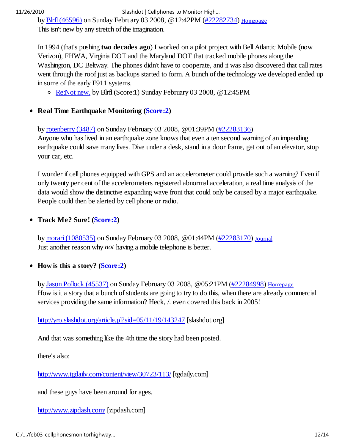by Blrfl (46596) on Sunday February 03 2008, @12:42PM (#22282734) Homepage

This isn't new by any stretch of the imagination.

In 1994 (that's pushing **two decades ago**) I worked on a pilot project with Bell Atlantic Mobile (now Verizon), FHWA, Virginia DOT and the Maryland DOT that tracked mobile phones along the Washington, DC Beltway. The phones didn't have to cooperate, and it was also discovered that call rates went through the roof just as backups started to form. A bunch of the technology we developed ended up in some of the early E911 systems.

o Re:Not new. by Blrfl (Score:1) Sunday February 03 2008, @12:45PM

• Real Time Earthquake Monitoring (Score:2)

by rotenberry (3487) on Sunday February 03 2008, @01:39PM (#22283136)

Anyone who has lived in an earthquake zone knows that even a ten second warning of an impending earthquake could save many lives. Dive under a desk, stand in a door frame, get out of an elevator, stop your car, etc.

I wonder if cell phones equipped with GPS and an accelerometer could provide such a warning? Even if only twenty per cent of the accelerometers registered abnormal acceleration, a real time analysis of the data would show the distinctive expanding wave front that could only be caused by a major earthquake. People could then be alerted by cell phone or radio.

### **Track Me? Sure! (Score:2)**

by morari (1080535) on Sunday February 03 2008, @01:44PM (#22283170) Journal Just another reason why *not* having a mobile telephone is better.

### **How is this a story? (Score:2)**

by Jason Pollock (45537) on Sunday February 03 2008, @05:21PM (#22284998) Homepage How is it a story that a bunch of students are going to try to do this, when there are already commercial services providing the same information? Heck, /. even covered this back in 2005!

http://yro.slashdot.org/article.pl?sid=05/11/19/143247 [slashdot.org]

And that was something like the 4th time the story had been posted.

there's also:

http://www.tgdaily.com/content/view/30723/113/ [tgdaily.com]

and these guys have been around for ages.

http://www.zipdash.com/ [zipdash.com]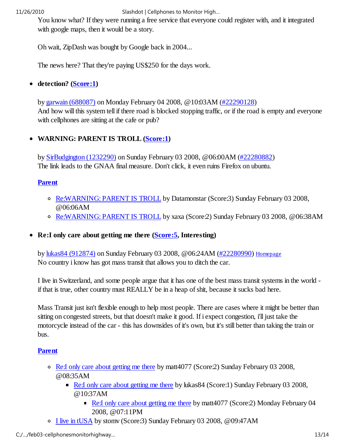You know what? If they were running a free service that everyone could register with, and it integrated with google maps, then it would be a story.

Oh wait, ZipDash was bought by Google back in 2004...

The news here? That they're paying US\$250 for the days work.

#### **detection? (Score:1)**  $\bullet$

by garwain (688087) on Monday February 04 2008, @10:03AM (#22290128) And how will this system tell if there road is blocked stopping traffic, or if the road is empty and everyone with cellphones are sitting at the cafe or pub?

#### $\bullet$ **WARNING: PARENT IS TROLL (Score:1)**

by SirBudgington (1232290) on Sunday February 03 2008, @06:00AM (#22280882) The link leads to the GNAA final measure. Don't click, it even ruins Firefox on ubuntu.

### **Parent**

- Re:WARNING: PARENT IS TROLL by Datamonstar (Score:3) Sunday February 03 2008, @06:06AM
- Re:WARNING: PARENT IS TROLL by xaxa (Score:2) Sunday February 03 2008, @06:38AM
- **Re:I only care about getting me there (Score:5, Interesting)**

by lukas84 (912874) on Sunday February 03 2008, @06:24AM (#22280990) Homepage No country i know has got mass transit that allows you to ditch the car.

I live in Switzerland, and some people argue that it has one of the best mass transit systems in the world if that is true, other country must REALLY be in a heap of shit, because it sucks bad here.

Mass Transit just isn't flexible enough to help most people. There are cases where it might be better than sitting on congested streets, but that doesn't make it good. If i expect congestion, i'll just take the motorcycle instead of the car - this has downsides of it's own, but it's still better than taking the train or bus.

### **Parent**

- Re:I only care about getting me there by matt4077 (Score:2) Sunday February 03 2008, @08:35AM
	- Re:I only care about getting me there by lukas 84 (Score:1) Sunday February 03 2008, @10:37AM
		- Re:I only care about getting me there by matt4077 (Score:2) Monday February 04 2008, @07:11PM
- I live in tUSA by stomv (Score:3) Sunday February 03 2008, @09:47AM